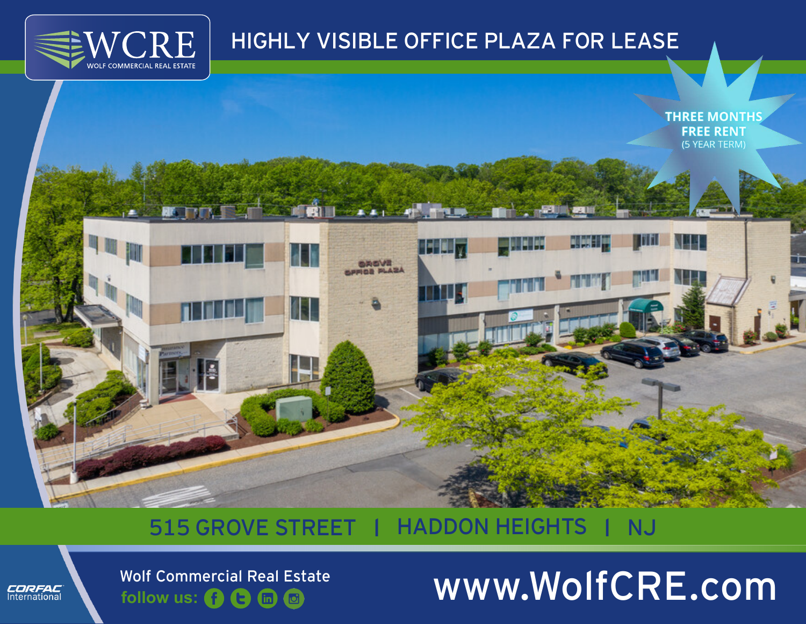

## HIGHLY VISIBLE OFFICE PLAZA FOR LEASE



## 515 GROVE STREET | HADDON HEIGHTS | NJ



**follow us: ( ) ( ) ( in @** 

# Wolf Commercial Real Estate<br>
follow us: (3) Commercial Real Estate<br> **WWW.Wolf CRE.com**